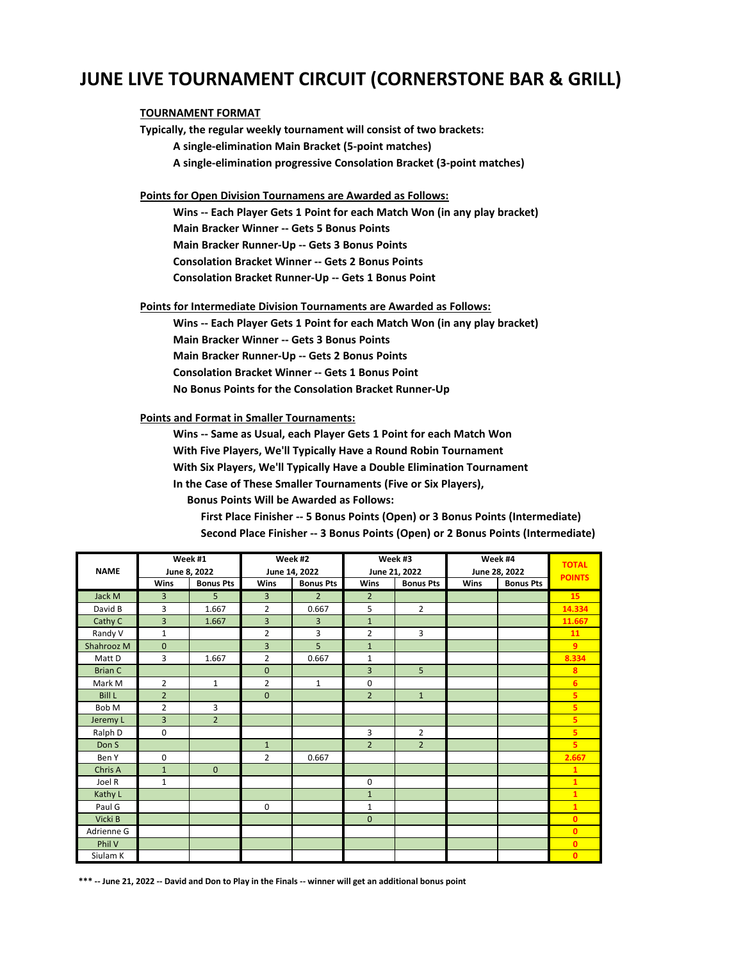### **JUNE LIVE TOURNAMENT CIRCUIT (CORNERSTONE BAR & GRILL)**

#### **TOURNAMENT FORMAT**

**Typically, the regular weekly tournament will consist of two brackets: A single-elimination Main Bracket (5-point matches) A single-elimination progressive Consolation Bracket (3-point matches) Points for Open Division Tournamens are Awarded as Follows: Wins -- Each Player Gets 1 Point for each Match Won (in any play bracket) Main Bracker Winner -- Gets 5 Bonus Points Main Bracker Runner-Up -- Gets 3 Bonus Points**

 **Consolation Bracket Winner -- Gets 2 Bonus Points**

 **Consolation Bracket Runner-Up -- Gets 1 Bonus Point**

**Points for Intermediate Division Tournaments are Awarded as Follows:**

 **Wins -- Each Player Gets 1 Point for each Match Won (in any play bracket) Main Bracker Winner -- Gets 3 Bonus Points Main Bracker Runner-Up -- Gets 2 Bonus Points Consolation Bracket Winner -- Gets 1 Bonus Point No Bonus Points for the Consolation Bracket Runner-Up**

**Points and Format in Smaller Tournaments:**

 **Wins -- Same as Usual, each Player Gets 1 Point for each Match Won With Five Players, We'll Typically Have a Round Robin Tournament With Six Players, We'll Typically Have a Double Elimination Tournament**

 **In the Case of These Smaller Tournaments (Five or Six Players),**

 **Bonus Points Will be Awarded as Follows:**

 **First Place Finisher -- 5 Bonus Points (Open) or 3 Bonus Points (Intermediate) Second Place Finisher -- 3 Bonus Points (Open) or 2 Bonus Points (Intermediate)**

|                |                | Week #1          |                | Week #2          |                | Week #3                        |             | Week #4          | <b>TOTAL</b>            |
|----------------|----------------|------------------|----------------|------------------|----------------|--------------------------------|-------------|------------------|-------------------------|
| <b>NAME</b>    |                | June 8, 2022     |                | June 14, 2022    |                | June 21, 2022<br>June 28, 2022 |             |                  | <b>POINTS</b>           |
|                | <b>Wins</b>    | <b>Bonus Pts</b> | <b>Wins</b>    | <b>Bonus Pts</b> | <b>Wins</b>    | <b>Bonus Pts</b>               | <b>Wins</b> | <b>Bonus Pts</b> |                         |
| Jack M         | 3              | 5                | 3              | $\overline{2}$   | $\overline{2}$ |                                |             |                  | 15                      |
| David B        | 3              | 1.667            | $\overline{2}$ | 0.667            | 5              | $\overline{2}$                 |             |                  | 14.334                  |
| Cathy C        | 3              | 1.667            | $\overline{3}$ | 3                | $\mathbf{1}$   |                                |             |                  | 11.667                  |
| Randy V        | $\mathbf{1}$   |                  | $\overline{2}$ | 3                | 2              | 3                              |             |                  | 11                      |
| Shahrooz M     | $\mathbf 0$    |                  | 3              | 5                | $\mathbf{1}$   |                                |             |                  | $\overline{9}$          |
| Matt D         | 3              | 1.667            | $\overline{2}$ | 0.667            | $\mathbf 1$    |                                |             |                  | 8.334                   |
| <b>Brian C</b> |                |                  | $\mathbf{0}$   |                  | 3              | 5                              |             |                  | 8                       |
| Mark M         | $\overline{2}$ | $\mathbf{1}$     | $\overline{2}$ | $\mathbf{1}$     | 0              |                                |             |                  | 6                       |
| <b>Bill L</b>  | $\overline{2}$ |                  | $\mathbf{0}$   |                  | $\overline{2}$ | $\mathbf{1}$                   |             |                  | $\overline{\mathbf{5}}$ |
| Bob M          | $\overline{2}$ | 3                |                |                  |                |                                |             |                  | 5                       |
| Jeremy L       | 3              | $\overline{2}$   |                |                  |                |                                |             |                  | 5                       |
| Ralph D        | $\mathbf 0$    |                  |                |                  | 3              | $\overline{2}$                 |             |                  | 5                       |
| Don S          |                |                  | $\mathbf{1}$   |                  | $\overline{2}$ | $\overline{2}$                 |             |                  | $\overline{\mathbf{5}}$ |
| Ben Y          | $\mathbf 0$    |                  | $\overline{2}$ | 0.667            |                |                                |             |                  | 2.667                   |
| Chris A        | $\mathbf{1}$   | $\mathbf{0}$     |                |                  |                |                                |             |                  | $\mathbf{1}$            |
| Joel R         | $\mathbf 1$    |                  |                |                  | 0              |                                |             |                  | $\overline{1}$          |
| Kathy L        |                |                  |                |                  | $\mathbf 1$    |                                |             |                  | $\mathbf{1}$            |
| Paul G         |                |                  | $\mathbf 0$    |                  | $\mathbf{1}$   |                                |             |                  | $\mathbf{1}$            |
| Vicki B        |                |                  |                |                  | $\mathbf{0}$   |                                |             |                  | $\mathbf{0}$            |
| Adrienne G     |                |                  |                |                  |                |                                |             |                  | $\mathbf{0}$            |
| Phil V         |                |                  |                |                  |                |                                |             |                  | $\mathbf{0}$            |
| Siulam K       |                |                  |                |                  |                |                                |             |                  | $\mathbf{0}$            |

**\*\*\* -- June 21, 2022 -- David and Don to Play in the Finals -- winner will get an additional bonus point**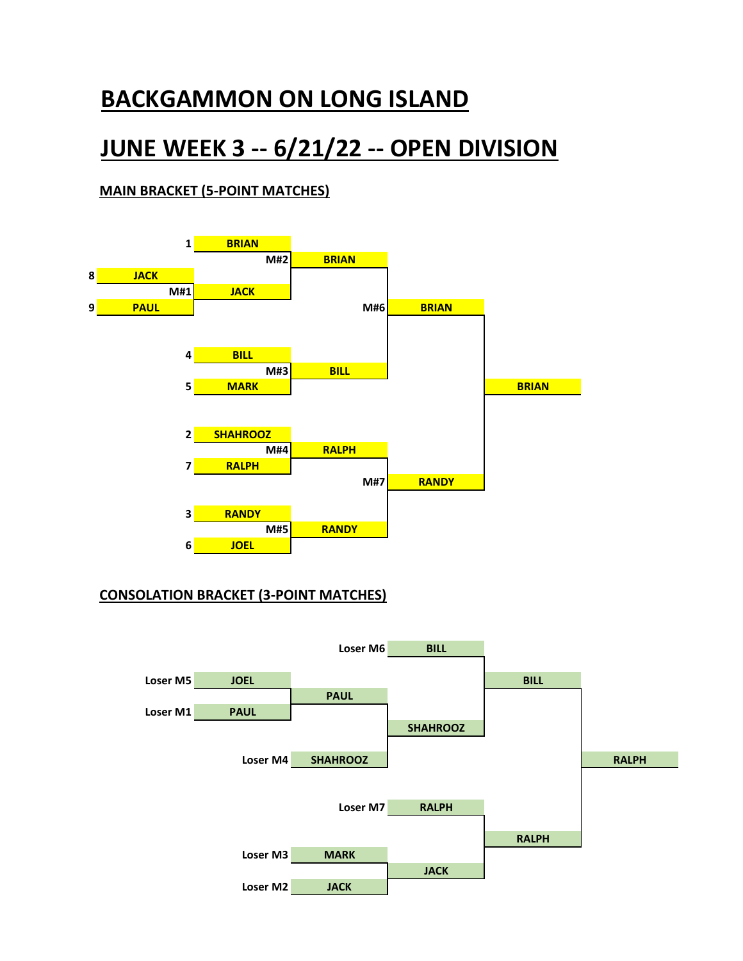# **JUNE WEEK 3 -- 6/21/22 -- OPEN DIVISION**

#### **MAIN BRACKET (5-POINT MATCHES)**



#### **CONSOLATION BRACKET (3-POINT MATCHES)**

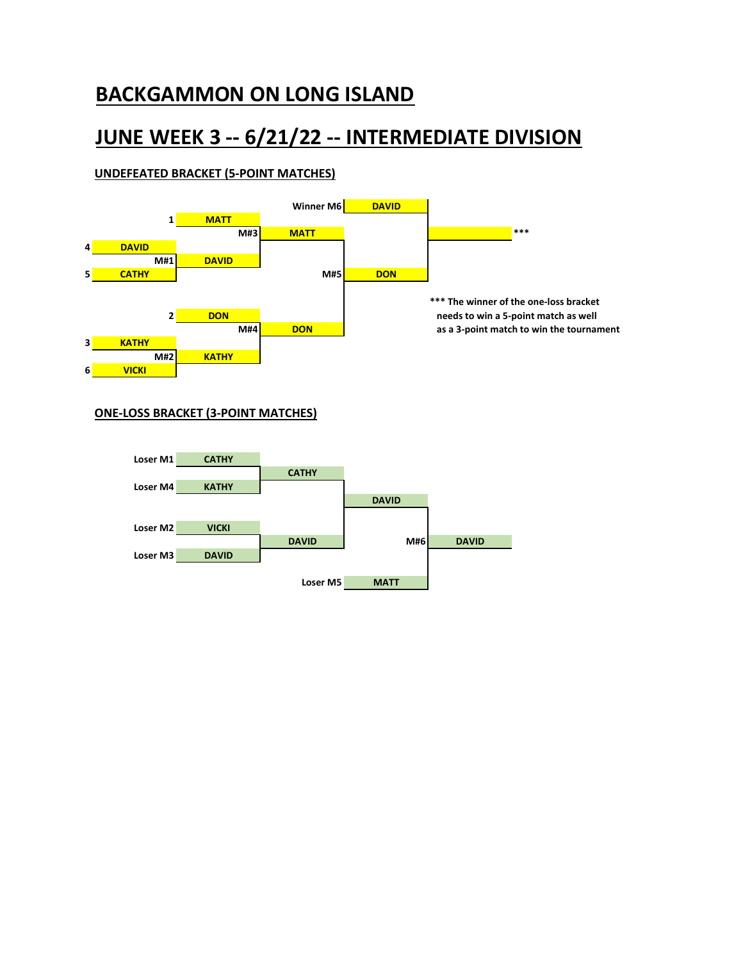## **JUNE WEEK 3 -- 6/21/22 -- INTERMEDIATE DIVISION**

#### **UNDEFEATED BRACKET (5-POINT MATCHES)**



#### **ONE-LOSS BRACKET (3-POINT MATCHES)**

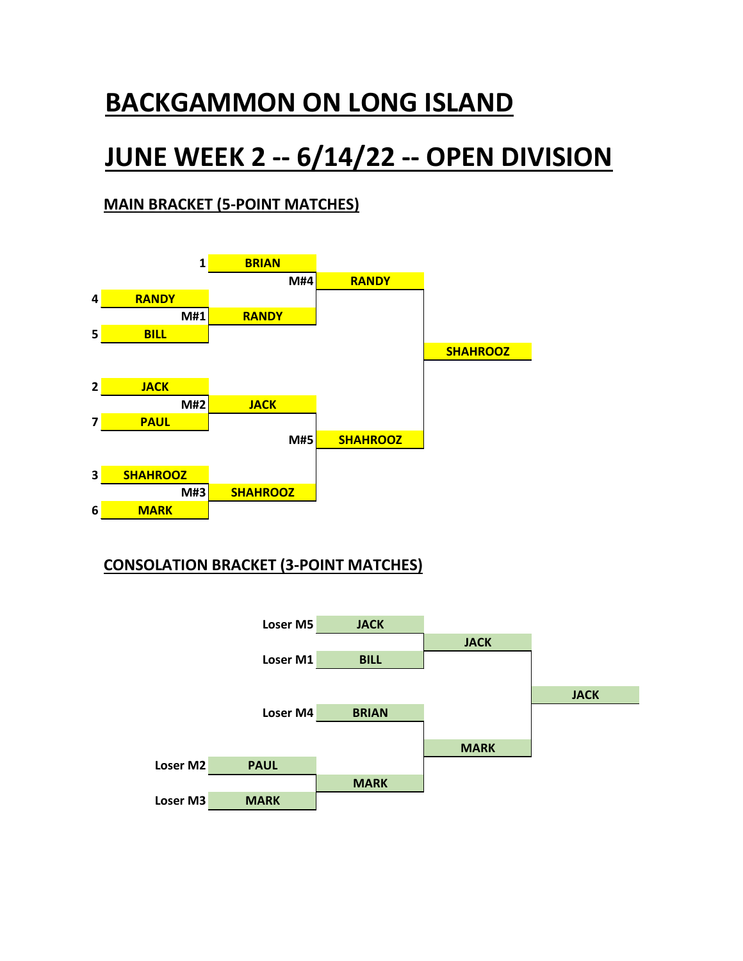# **JUNE WEEK 2 -- 6/14/22 -- OPEN DIVISION**

### **MAIN BRACKET (5-POINT MATCHES)**



### **CONSOLATION BRACKET (3-POINT MATCHES)**

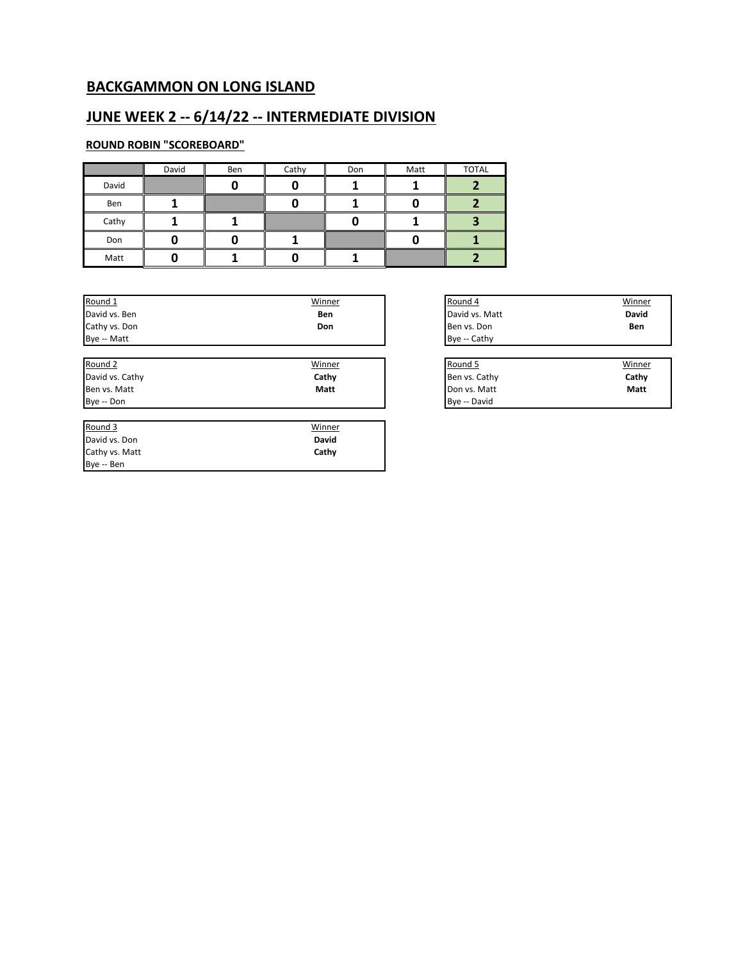### **JUNE WEEK 2 -- 6/14/22 -- INTERMEDIATE DIVISION**

#### **ROUND ROBIN "SCOREBOARD"**

Cathy vs. Matt Bye -- Ben

|       | David | Ben | Cathy | Don | Matt | <b>TOTAL</b> |
|-------|-------|-----|-------|-----|------|--------------|
| David |       |     |       |     |      |              |
| Ben   |       |     |       |     |      |              |
| Cathy |       |     |       |     |      |              |
| Don   |       |     |       |     |      |              |
| Matt  |       |     |       |     |      |              |

**Cathy**

| Round 1         | Winner       | Round 4        |
|-----------------|--------------|----------------|
| David vs. Ben   | Ben          | David vs. Matt |
| Cathy vs. Don   | Don          | Ben vs. Don    |
| Bye -- Matt     |              | Bye -- Cathy   |
|                 |              |                |
| Round 2         | Winner       | Round 5        |
| David vs. Cathy | Cathy        | Ben vs. Cathy  |
| Ben vs. Matt    | Matt         | Don vs. Matt   |
| Bye -- Don      |              | Bye -- David   |
|                 |              |                |
| Round 3         | Winner       |                |
| David vs. Don   | <b>David</b> |                |

| <u>Winner</u> | Round 4        | Winner       |
|---------------|----------------|--------------|
| Ben           | David vs. Matt | <b>David</b> |
| Don           | Ben vs. Don    | Ben          |
|               | Bye -- Cathy   |              |
|               |                |              |

| Winner      | Round 5       | Winner |
|-------------|---------------|--------|
| Cathy       | Ben vs. Cathy | Cathy  |
| <b>Matt</b> | Don vs. Matt  | Matt   |
|             | Bve -- David  |        |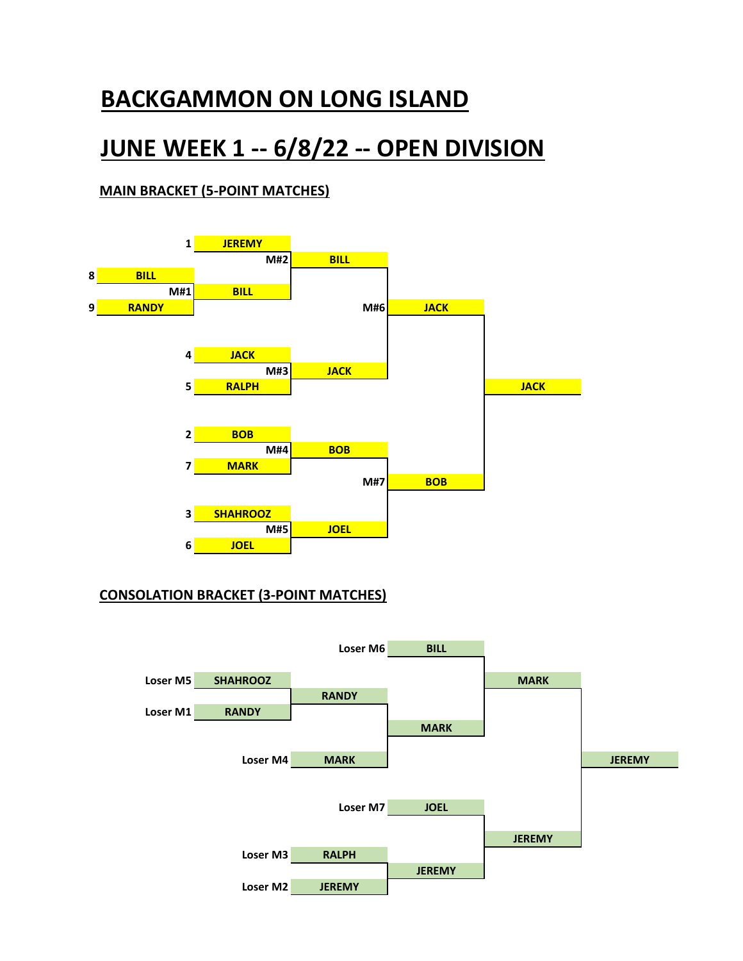# **JUNE WEEK 1 -- 6/8/22 -- OPEN DIVISION**

#### **MAIN BRACKET (5-POINT MATCHES)**



#### **CONSOLATION BRACKET (3-POINT MATCHES)**